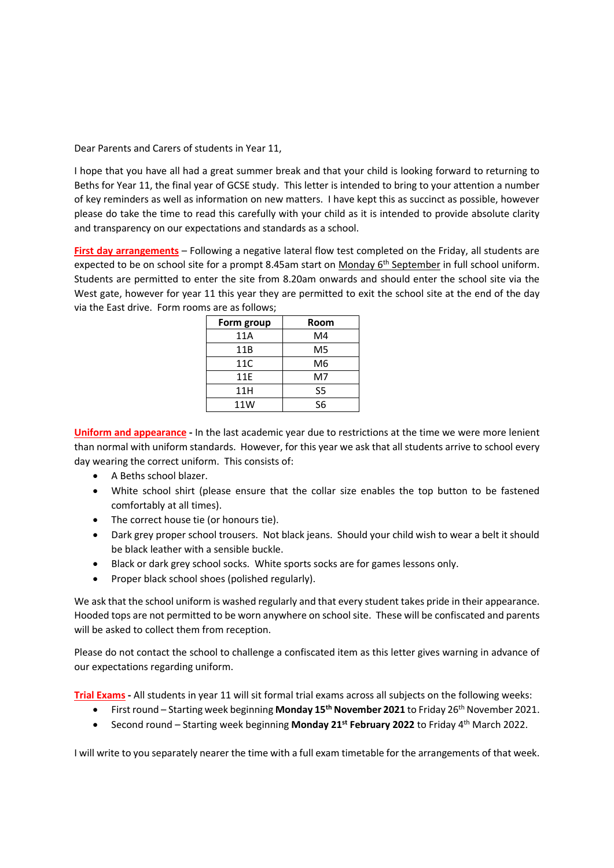Dear Parents and Carers of students in Year 11,

I hope that you have all had a great summer break and that your child is looking forward to returning to Beths for Year 11, the final year of GCSE study. This letter is intended to bring to your attention a number of key reminders as well as information on new matters. I have kept this as succinct as possible, however please do take the time to read this carefully with your child as it is intended to provide absolute clarity and transparency on our expectations and standards as a school.

**First day arrangements** – Following a negative lateral flow test completed on the Friday, all students are expected to be on school site for a prompt 8.45am start on Monday 6<sup>th</sup> September in full school uniform. Students are permitted to enter the site from 8.20am onwards and should enter the school site via the West gate, however for year 11 this year they are permitted to exit the school site at the end of the day via the East drive. Form rooms are as follows;

| Form group | Room           |
|------------|----------------|
| 11A        | M4             |
| 11B        | M <sub>5</sub> |
| 11C        | M6             |
| 11E        | M7             |
| 11H        | S <sub>5</sub> |
| 11W        | S6             |

**Uniform and appearance -** In the last academic year due to restrictions at the time we were more lenient than normal with uniform standards. However, for this year we ask that all students arrive to school every day wearing the correct uniform. This consists of:

- A Beths school blazer.
- White school shirt (please ensure that the collar size enables the top button to be fastened comfortably at all times).
- The correct house tie (or honours tie).
- Dark grey proper school trousers. Not black jeans. Should your child wish to wear a belt it should be black leather with a sensible buckle.
- Black or dark grey school socks. White sports socks are for games lessons only.
- Proper black school shoes (polished regularly).

We ask that the school uniform is washed regularly and that every student takes pride in their appearance. Hooded tops are not permitted to be worn anywhere on school site. These will be confiscated and parents will be asked to collect them from reception.

Please do not contact the school to challenge a confiscated item as this letter gives warning in advance of our expectations regarding uniform.

**Trial Exams -** All students in year 11 will sit formal trial exams across all subjects on the following weeks:

- First round Starting week beginning **Monday 15th November 2021** to Friday 26th November 2021.
- Second round Starting week beginning **Monday 21st February 2022** to Friday 4th March 2022.

I will write to you separately nearer the time with a full exam timetable for the arrangements of that week.